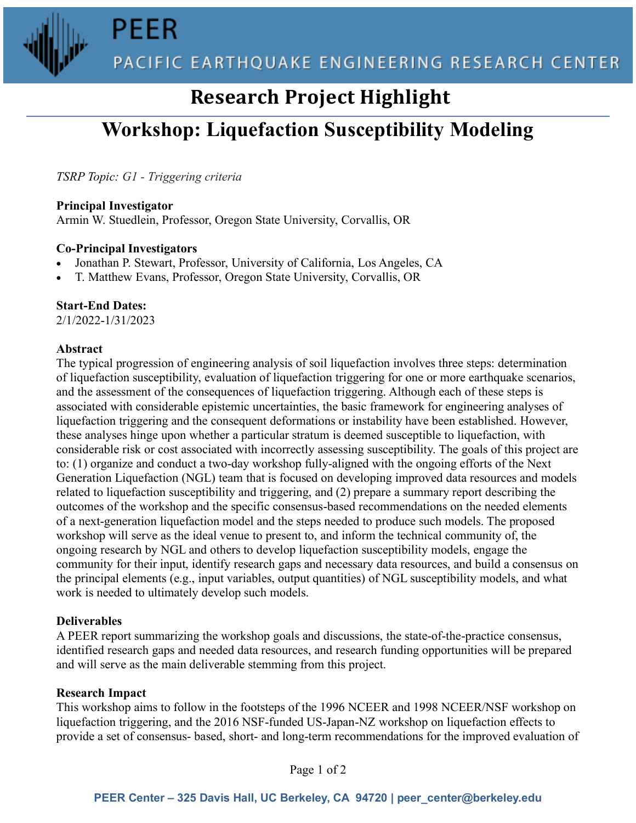**PEER** 



## **Research Project Highlight**

# **Workshop: Liquefaction Susceptibility Modeling**

*TSRP Topic: G1 - Triggering criteria*

**Principal Investigator**

Armin W. Stuedlein, Professor, Oregon State University, Corvallis, OR

#### **Co-Principal Investigators**

- Jonathan P. Stewart, Professor, University of California, Los Angeles, CA
- T. Matthew Evans, Professor, Oregon State University, Corvallis, OR

### **Start-End Dates:**

2/1/2022-1/31/2023

#### **Abstract**

The typical progression of engineering analysis of soil liquefaction involves three steps: determination of liquefaction susceptibility, evaluation of liquefaction triggering for one or more earthquake scenarios, and the assessment of the consequences of liquefaction triggering. Although each of these steps is associated with considerable epistemic uncertainties, the basic framework for engineering analyses of liquefaction triggering and the consequent deformations or instability have been established. However, these analyses hinge upon whether a particular stratum is deemed susceptible to liquefaction, with considerable risk or cost associated with incorrectly assessing susceptibility. The goals of this project are to: (1) organize and conduct a two-day workshop fully-aligned with the ongoing efforts of the Next Generation Liquefaction (NGL) team that is focused on developing improved data resources and models related to liquefaction susceptibility and triggering, and (2) prepare a summary report describing the outcomes of the workshop and the specific consensus-based recommendations on the needed elements of a next-generation liquefaction model and the steps needed to produce such models. The proposed workshop will serve as the ideal venue to present to, and inform the technical community of, the ongoing research by NGL and others to develop liquefaction susceptibility models, engage the community for their input, identify research gaps and necessary data resources, and build a consensus on the principal elements (e.g., input variables, output quantities) of NGL susceptibility models, and what work is needed to ultimately develop such models.

#### **Deliverables**

A PEER report summarizing the workshop goals and discussions, the state-of-the-practice consensus, identified research gaps and needed data resources, and research funding opportunities will be prepared and will serve as the main deliverable stemming from this project.

#### **Research Impact**

This workshop aims to follow in the footsteps of the 1996 NCEER and 1998 NCEER/NSF workshop on liquefaction triggering, and the 2016 NSF-funded US-Japan-NZ workshop on liquefaction effects to provide a set of consensus- based, short- and long-term recommendations for the improved evaluation of

Page 1 of 2